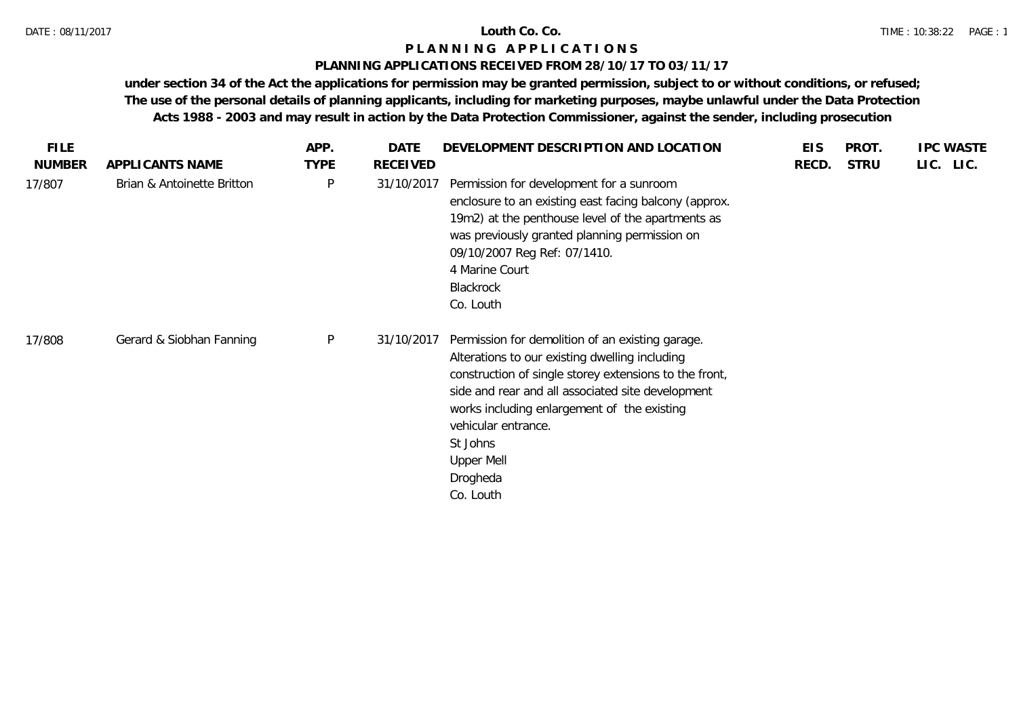### **PLANNING APPLICATIONS RECEIVED FROM 28/10/17 TO 03/11/17**

| <b>FILE</b>   |                            | APP.        | DATE       | DEVELOPMENT DESCRIPTION AND LOCATION                                                                                                                                                                                                                                                                                                              | <b>EIS</b> | PROT.       | <b>IPC WASTE</b> |
|---------------|----------------------------|-------------|------------|---------------------------------------------------------------------------------------------------------------------------------------------------------------------------------------------------------------------------------------------------------------------------------------------------------------------------------------------------|------------|-------------|------------------|
| <b>NUMBER</b> | APPLICANTS NAME            | <b>TYPE</b> | RECEIVED   |                                                                                                                                                                                                                                                                                                                                                   | RECD.      | <b>STRU</b> | LIC. LIC.        |
| 17/807        | Brian & Antoinette Britton | P           | 31/10/2017 | Permission for development for a sunroom<br>enclosure to an existing east facing balcony (approx.<br>19m2) at the penthouse level of the apartments as<br>was previously granted planning permission on<br>09/10/2007 Reg Ref: 07/1410.<br>4 Marine Court<br><b>Blackrock</b><br>Co. Louth                                                        |            |             |                  |
| 17/808        | Gerard & Siobhan Fanning   | P           | 31/10/2017 | Permission for demolition of an existing garage.<br>Alterations to our existing dwelling including<br>construction of single storey extensions to the front,<br>side and rear and all associated site development<br>works including enlargement of the existing<br>vehicular entrance.<br>St Johns<br><b>Upper Mell</b><br>Drogheda<br>Co. Louth |            |             |                  |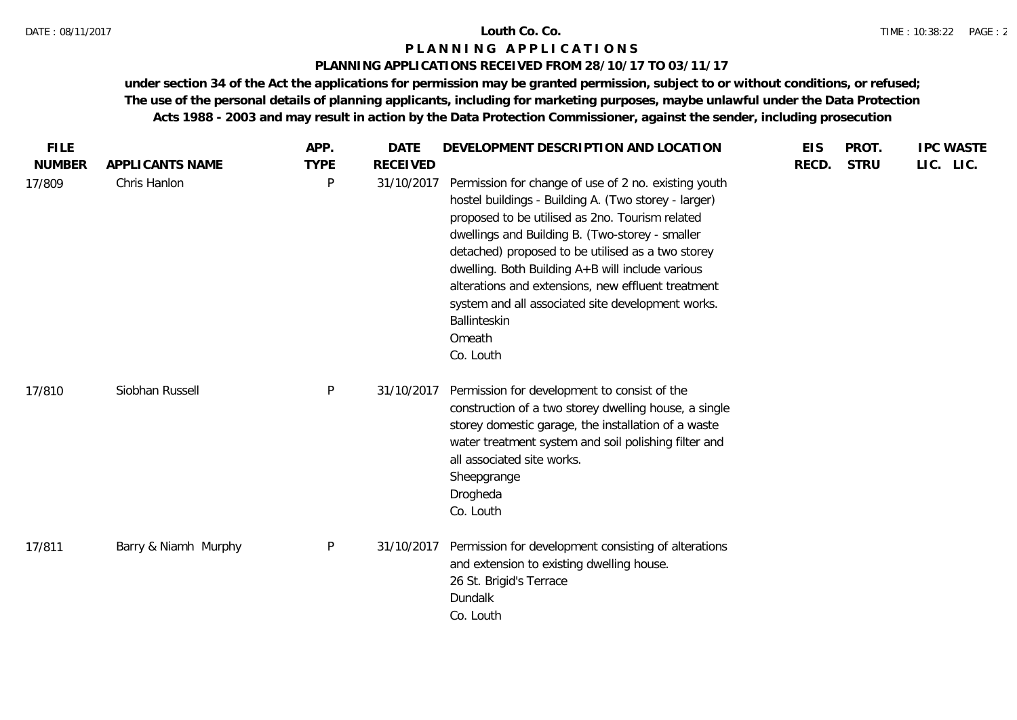### DATE : 08/11/2017 **Louth Co. Co.**

## **P L A N N I N G A P P L I C A T I O N S**

## **PLANNING APPLICATIONS RECEIVED FROM 28/10/17 TO 03/11/17**

| <b>FILE</b>             |                                 | APP.             | <b>DATE</b>                   | DEVELOPMENT DESCRIPTION AND LOCATION                                                                                                                                                                                                                                                                                                                                                                                                                                          | <b>EIS</b> | PROT.       |           | <b>IPC WASTE</b> |
|-------------------------|---------------------------------|------------------|-------------------------------|-------------------------------------------------------------------------------------------------------------------------------------------------------------------------------------------------------------------------------------------------------------------------------------------------------------------------------------------------------------------------------------------------------------------------------------------------------------------------------|------------|-------------|-----------|------------------|
| <b>NUMBER</b><br>17/809 | APPLICANTS NAME<br>Chris Hanlon | <b>TYPE</b><br>P | <b>RECEIVED</b><br>31/10/2017 | Permission for change of use of 2 no. existing youth<br>hostel buildings - Building A. (Two storey - larger)<br>proposed to be utilised as 2no. Tourism related<br>dwellings and Building B. (Two-storey - smaller<br>detached) proposed to be utilised as a two storey<br>dwelling. Both Building A+B will include various<br>alterations and extensions, new effluent treatment<br>system and all associated site development works.<br>Ballinteskin<br>Omeath<br>Co. Louth | RECD.      | <b>STRU</b> | LIC. LIC. |                  |
| 17/810                  | Siobhan Russell                 | $\mathsf{P}$     | 31/10/2017                    | Permission for development to consist of the<br>construction of a two storey dwelling house, a single<br>storey domestic garage, the installation of a waste<br>water treatment system and soil polishing filter and<br>all associated site works.<br>Sheepgrange<br>Drogheda<br>Co. Louth                                                                                                                                                                                    |            |             |           |                  |
| 17/811                  | Barry & Niamh Murphy            | $\sf P$          | 31/10/2017                    | Permission for development consisting of alterations<br>and extension to existing dwelling house.<br>26 St. Brigid's Terrace<br>Dundalk<br>Co. Louth                                                                                                                                                                                                                                                                                                                          |            |             |           |                  |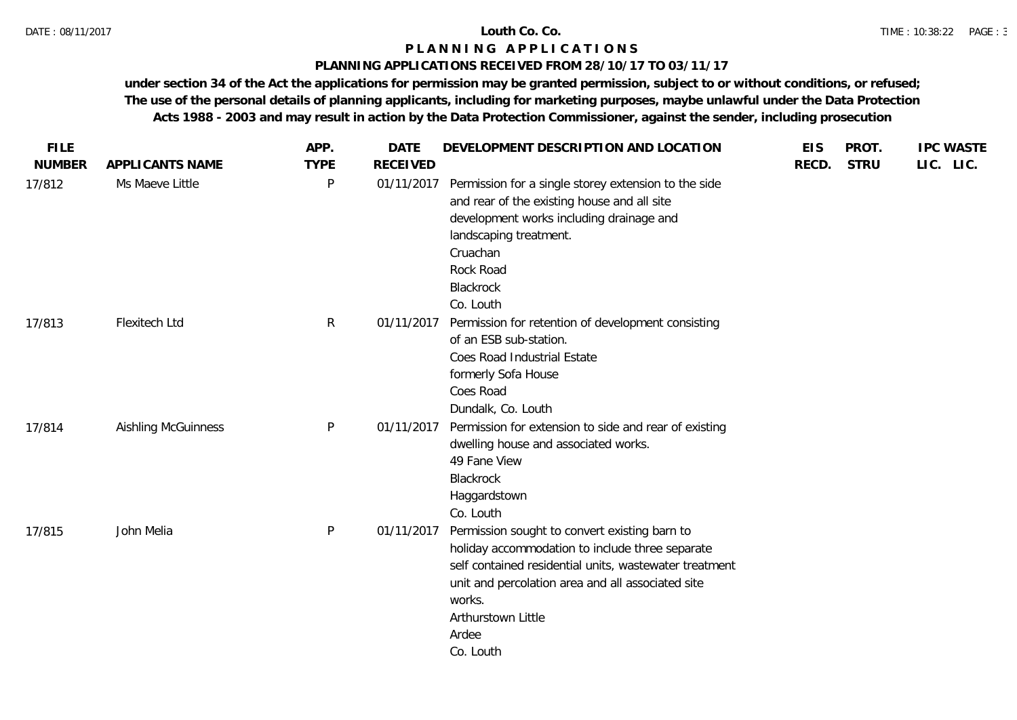### **PLANNING APPLICATIONS RECEIVED FROM 28/10/17 TO 03/11/17**

| <b>FILE</b>   |                            | APP.         | <b>DATE</b>     | DEVELOPMENT DESCRIPTION AND LOCATION                                                                                                                                                                                                                                  | <b>EIS</b> | PROT.       | <b>IPC WASTE</b> |
|---------------|----------------------------|--------------|-----------------|-----------------------------------------------------------------------------------------------------------------------------------------------------------------------------------------------------------------------------------------------------------------------|------------|-------------|------------------|
| <b>NUMBER</b> | APPLICANTS NAME            | <b>TYPE</b>  | <b>RECEIVED</b> |                                                                                                                                                                                                                                                                       | RECD.      | <b>STRU</b> | LIC. LIC.        |
| 17/812        | Ms Maeve Little            | P            | 01/11/2017      | Permission for a single storey extension to the side<br>and rear of the existing house and all site<br>development works including drainage and<br>landscaping treatment.<br>Cruachan<br>Rock Road<br>Blackrock<br>Co. Louth                                          |            |             |                  |
| 17/813        | Flexitech Ltd              | $\mathsf{R}$ | 01/11/2017      | Permission for retention of development consisting<br>of an ESB sub-station.<br>Coes Road Industrial Estate<br>formerly Sofa House<br>Coes Road<br>Dundalk, Co. Louth                                                                                                 |            |             |                  |
| 17/814        | <b>Aishling McGuinness</b> | P            | 01/11/2017      | Permission for extension to side and rear of existing<br>dwelling house and associated works.<br>49 Fane View<br>Blackrock<br>Haggardstown<br>Co. Louth                                                                                                               |            |             |                  |
| 17/815        | John Melia                 | P            | 01/11/2017      | Permission sought to convert existing barn to<br>holiday accommodation to include three separate<br>self contained residential units, wastewater treatment<br>unit and percolation area and all associated site<br>works.<br>Arthurstown Little<br>Ardee<br>Co. Louth |            |             |                  |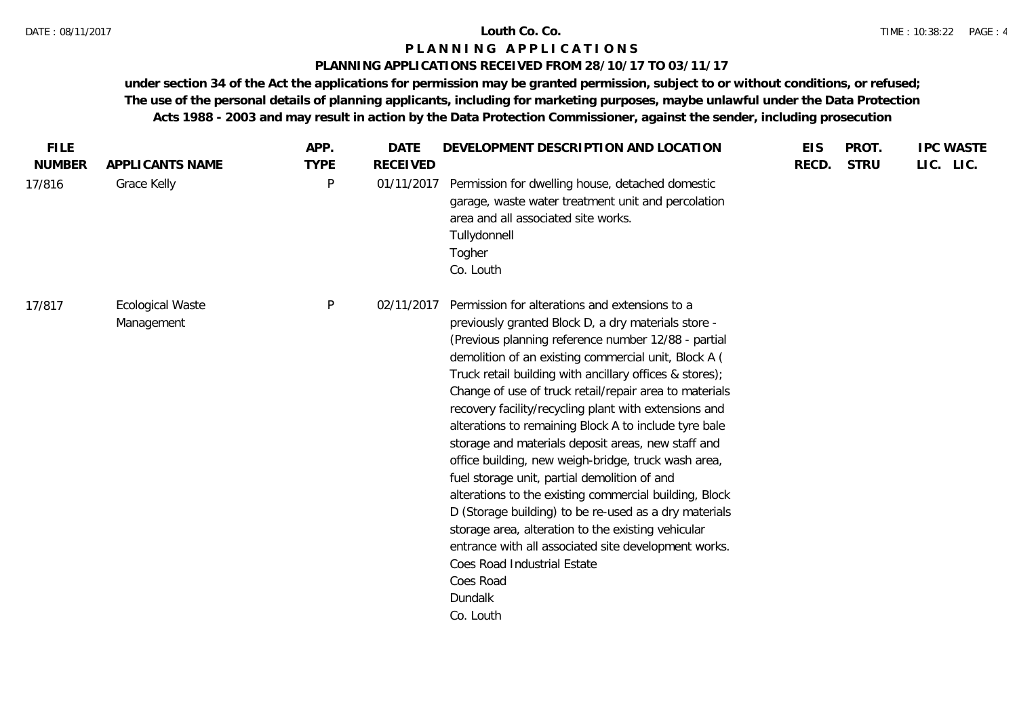## **PLANNING APPLICATIONS RECEIVED FROM 28/10/17 TO 03/11/17**

| LIC. LIC.<br><b>NUMBER</b><br><b>TYPE</b><br><b>RECEIVED</b><br>RECD.<br><b>STRU</b><br>APPLICANTS NAME<br>P<br>01/11/2017<br>Permission for dwelling house, detached domestic<br>17/816<br>Grace Kelly<br>garage, waste water treatment unit and percolation<br>area and all associated site works.<br>Tullydonnell<br>Togher<br>Co. Louth<br>P<br>Permission for alterations and extensions to a<br><b>Ecological Waste</b><br>02/11/2017<br>17/817<br>previously granted Block D, a dry materials store -<br>Management<br>(Previous planning reference number 12/88 - partial<br>demolition of an existing commercial unit, Block A (<br>Truck retail building with ancillary offices & stores);<br>Change of use of truck retail/repair area to materials<br>recovery facility/recycling plant with extensions and<br>alterations to remaining Block A to include tyre bale<br>storage and materials deposit areas, new staff and<br>office building, new weigh-bridge, truck wash area,<br>fuel storage unit, partial demolition of and<br>alterations to the existing commercial building, Block |
|---------------------------------------------------------------------------------------------------------------------------------------------------------------------------------------------------------------------------------------------------------------------------------------------------------------------------------------------------------------------------------------------------------------------------------------------------------------------------------------------------------------------------------------------------------------------------------------------------------------------------------------------------------------------------------------------------------------------------------------------------------------------------------------------------------------------------------------------------------------------------------------------------------------------------------------------------------------------------------------------------------------------------------------------------------------------------------------------------------|
|                                                                                                                                                                                                                                                                                                                                                                                                                                                                                                                                                                                                                                                                                                                                                                                                                                                                                                                                                                                                                                                                                                         |
|                                                                                                                                                                                                                                                                                                                                                                                                                                                                                                                                                                                                                                                                                                                                                                                                                                                                                                                                                                                                                                                                                                         |
| D (Storage building) to be re-used as a dry materials<br>storage area, alteration to the existing vehicular<br>entrance with all associated site development works.<br>Coes Road Industrial Estate<br>Coes Road<br>Dundalk<br>Co. Louth                                                                                                                                                                                                                                                                                                                                                                                                                                                                                                                                                                                                                                                                                                                                                                                                                                                                 |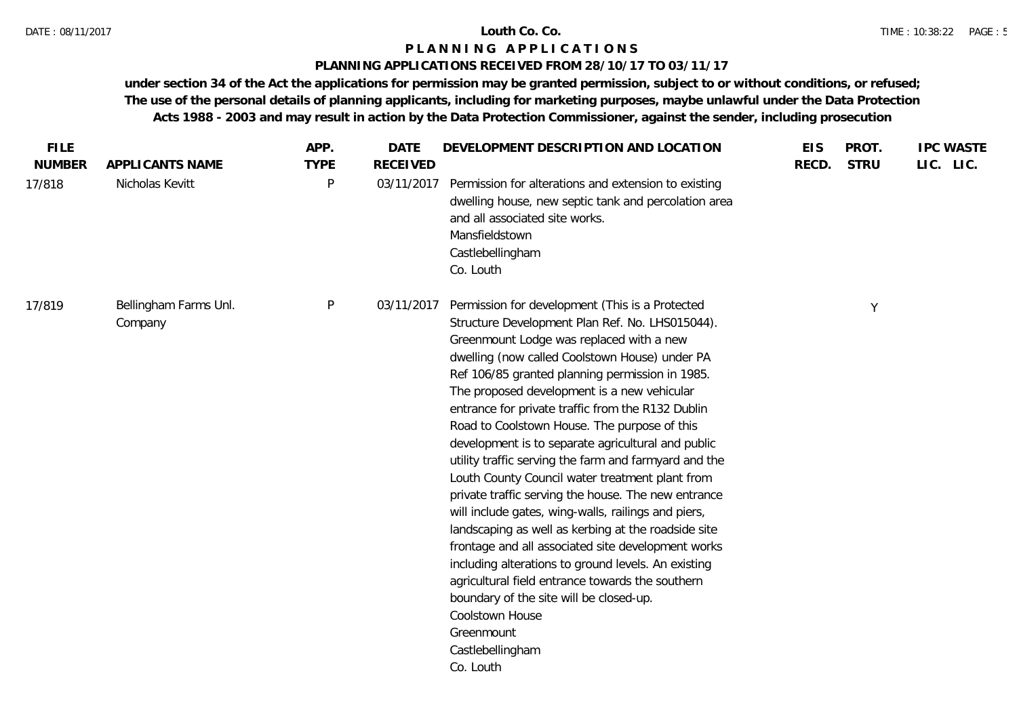## **PLANNING APPLICATIONS RECEIVED FROM 28/10/17 TO 03/11/17**

| <b>NUMBER</b> | APPLICANTS NAME                  | <b>TYPE</b> | <b>RECEIVED</b> |                                                                                                                                                                                                                                                                                                                                                                                                                                                                                                                                                                                                                                                                                                                                                                                                                                                                                                                                                                                                                              | RECD. | <b>STRU</b> | LIC. LIC. |
|---------------|----------------------------------|-------------|-----------------|------------------------------------------------------------------------------------------------------------------------------------------------------------------------------------------------------------------------------------------------------------------------------------------------------------------------------------------------------------------------------------------------------------------------------------------------------------------------------------------------------------------------------------------------------------------------------------------------------------------------------------------------------------------------------------------------------------------------------------------------------------------------------------------------------------------------------------------------------------------------------------------------------------------------------------------------------------------------------------------------------------------------------|-------|-------------|-----------|
| 17/818        | Nicholas Kevitt                  | P           | 03/11/2017      | Permission for alterations and extension to existing<br>dwelling house, new septic tank and percolation area<br>and all associated site works.<br>Mansfieldstown<br>Castlebellingham<br>Co. Louth                                                                                                                                                                                                                                                                                                                                                                                                                                                                                                                                                                                                                                                                                                                                                                                                                            |       |             |           |
| 17/819        | Bellingham Farms Unl.<br>Company | P           | 03/11/2017      | Permission for development (This is a Protected<br>Structure Development Plan Ref. No. LHS015044).<br>Greenmount Lodge was replaced with a new<br>dwelling (now called Coolstown House) under PA<br>Ref 106/85 granted planning permission in 1985.<br>The proposed development is a new vehicular<br>entrance for private traffic from the R132 Dublin<br>Road to Coolstown House. The purpose of this<br>development is to separate agricultural and public<br>utility traffic serving the farm and farmyard and the<br>Louth County Council water treatment plant from<br>private traffic serving the house. The new entrance<br>will include gates, wing-walls, railings and piers,<br>landscaping as well as kerbing at the roadside site<br>frontage and all associated site development works<br>including alterations to ground levels. An existing<br>agricultural field entrance towards the southern<br>boundary of the site will be closed-up.<br>Coolstown House<br>Greenmount<br>Castlebellingham<br>Co. Louth |       | Y           |           |